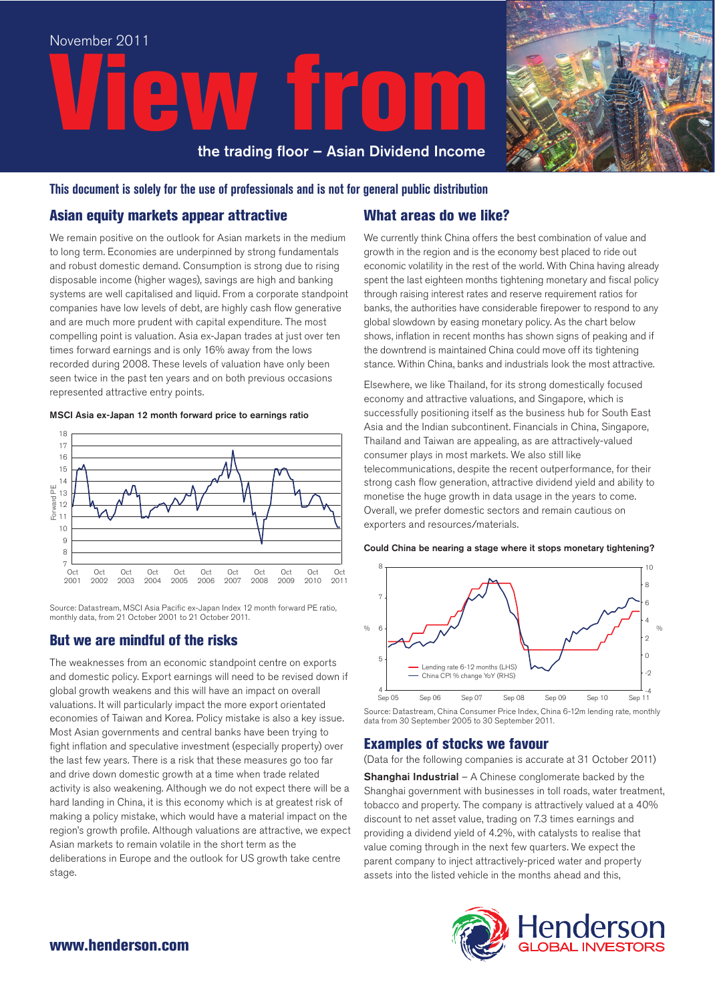



#### **This document is solely for the use of professionals and is not for general public distribution**

#### Asian equity markets appear attractive

We remain positive on the outlook for Asian markets in the medium to long term. Economies are underpinned by strong fundamentals and robust domestic demand. Consumption is strong due to rising disposable income (higher wages), savings are high and banking systems are well capitalised and liquid. From a corporate standpoint companies have low levels of debt, are highly cash flow generative and are much more prudent with capital expenditure. The most compelling point is valuation. Asia ex-Japan trades at just over ten times forward earnings and is only 16% away from the lows recorded during 2008. These levels of valuation have only been seen twice in the past ten years and on both previous occasions represented attractive entry points.

#### MSCI Asia ex-Japan 12 month forward price to earnings ratio



Source: Datastream, MSCI Asia Pacific ex-Japan Index 12 month forward PE ratio, monthly data, from 21 October 2001 to 21 October 2011.

## But we are mindful of the risks

The weaknesses from an economic standpoint centre on exports and domestic policy. Export earnings will need to be revised down if global growth weakens and this will have an impact on overall valuations. It will particularly impact the more export orientated economies of Taiwan and Korea. Policy mistake is also a key issue. Most Asian governments and central banks have been trying to fight inflation and speculative investment (especially property) over the last few years. There is a risk that these measures go too far and drive down domestic growth at a time when trade related activity is also weakening. Although we do not expect there will be a hard landing in China, it is this economy which is at greatest risk of making a policy mistake, which would have a material impact on the region's growth profile. Although valuations are attractive, we expect Asian markets to remain volatile in the short term as the deliberations in Europe and the outlook for US growth take centre stage.

### What areas do we like?

We currently think China offers the best combination of value and growth in the region and is the economy best placed to ride out economic volatility in the rest of the world. With China having already spent the last eighteen months tightening monetary and fiscal policy through raising interest rates and reserve requirement ratios for banks, the authorities have considerable firepower to respond to any global slowdown by easing monetary policy. As the chart below shows, inflation in recent months has shown signs of peaking and if the downtrend is maintained China could move off its tightening stance. Within China, banks and industrials look the most attractive.

Elsewhere, we like Thailand, for its strong domestically focused economy and attractive valuations, and Singapore, which is successfully positioning itself as the business hub for South East Asia and the Indian subcontinent. Financials in China, Singapore, Thailand and Taiwan are appealing, as are attractively-valued consumer plays in most markets. We also still like telecommunications, despite the recent outperformance, for their strong cash flow generation, attractive dividend yield and ability to monetise the huge growth in data usage in the years to come. Overall, we prefer domestic sectors and remain cautious on exporters and resources/materials.

Could China be nearing a stage where it stops monetary tightening?



Source: Datastream, China Consumer Price Index, China 6-12m lending rate, monthly data from 30 September 2005 to 30 September 2011.

#### Examples of stocks we favour

(Data for the following companies is accurate at 31 October 2011)

**Shanghai Industrial**  $-$  A Chinese conglomerate backed by the Shanghai government with businesses in toll roads, water treatment, tobacco and property. The company is attractively valued at a 40% discount to net asset value, trading on 7.3 times earnings and providing a dividend yield of 4.2%, with catalysts to realise that value coming through in the next few quarters. We expect the parent company to inject attractively-priced water and property assets into the listed vehicle in the months ahead and this,